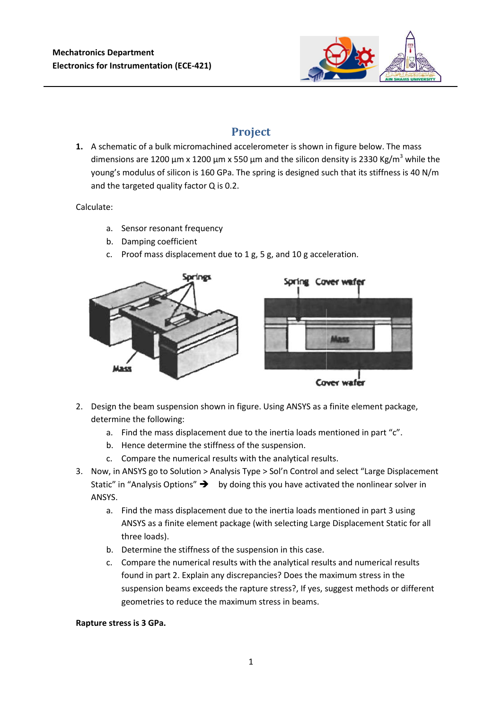

# **Project**

**1.** A schematic of a bulk micromachined accelerometer is shown in figure below. The mass dimensions are 1200  $\mu$ m x 1200  $\mu$ m x 550  $\mu$ m and the silicon density is 2330 Kg/m<sup>3</sup> while the young's modulus of silicon is 160 GPa. The spring is designed such that its stiffness is 40 N/m and the targeted quality factor Q is 0.2.

### Calculate:

- a. Sensor resonant frequency
- b. Damping coefficient
- c. Proof mass displacement due to 1 g, 5 g, and 10 g acceleration.



- 2. Design the beam suspension shown in figure. Using ANSYS as a finite element package, determine the following:
	- a. Find the mass displacement due to the inertia loads mentioned in part "c".
	- b. Hence determine the stiffness of the suspension.
	- c. Compare the numerical results with the analytical results.
- 3. Now, in ANSYS go to Solution > Analysis Type > Sol'n Control and select "Large Displacement Static" in "Analysis Options"  $\rightarrow$  by doing this you have activated the nonlinear solver in ANSYS.
	- a. Find the mass displacement due to the inertia loads mentioned in part 3 using ANSYS as a finite element package (with selecting Large Displacement Static for all three loads).
	- b. Determine the stiffness of the suspension in this case.
	- c. Compare the numerical results with the analytical results and numerical results found in part 2. Explain any discrepancies? Does the maximum stress in the suspension beams exceeds the rapture stress?, If yes, suggest methods or different geometries to reduce the maximum stress in beams.

#### **Rapture stress is 3 GPa.**